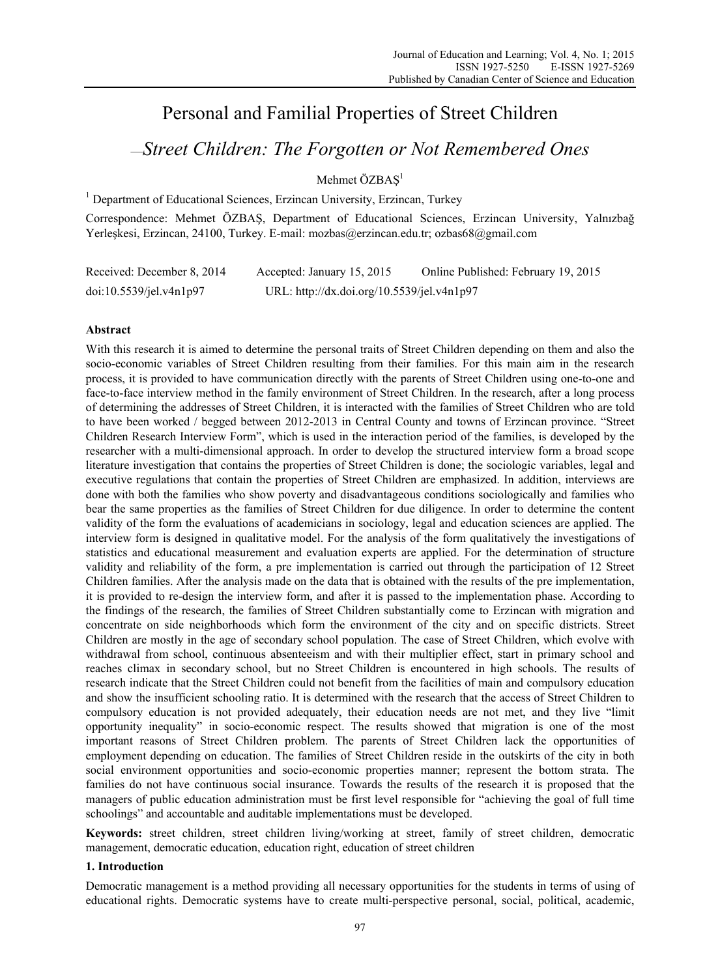# Personal and Familial Properties of Street Children

# —*Street Children: The Forgotten or Not Remembered Ones*

Mehmet ÖZBAS<sup>1</sup>

<sup>1</sup> Department of Educational Sciences, Erzincan University, Erzincan, Turkey

Correspondence: Mehmet ÖZBAŞ, Department of Educational Sciences, Erzincan University, Yalnızbağ Yerleşkesi, Erzincan, 24100, Turkey. E-mail: mozbas@erzincan.edu.tr; ozbas68@gmail.com

| Received: December 8, 2014 | Accepted: January 15, 2015                 | Online Published: February 19, 2015 |
|----------------------------|--------------------------------------------|-------------------------------------|
| doi:10.5539/jel.v4n1p97    | URL: http://dx.doi.org/10.5539/jel.v4n1p97 |                                     |

# **Abstract**

With this research it is aimed to determine the personal traits of Street Children depending on them and also the socio-economic variables of Street Children resulting from their families. For this main aim in the research process, it is provided to have communication directly with the parents of Street Children using one-to-one and face-to-face interview method in the family environment of Street Children. In the research, after a long process of determining the addresses of Street Children, it is interacted with the families of Street Children who are told to have been worked / begged between 2012-2013 in Central County and towns of Erzincan province. "Street Children Research Interview Form", which is used in the interaction period of the families, is developed by the researcher with a multi-dimensional approach. In order to develop the structured interview form a broad scope literature investigation that contains the properties of Street Children is done; the sociologic variables, legal and executive regulations that contain the properties of Street Children are emphasized. In addition, interviews are done with both the families who show poverty and disadvantageous conditions sociologically and families who bear the same properties as the families of Street Children for due diligence. In order to determine the content validity of the form the evaluations of academicians in sociology, legal and education sciences are applied. The interview form is designed in qualitative model. For the analysis of the form qualitatively the investigations of statistics and educational measurement and evaluation experts are applied. For the determination of structure validity and reliability of the form, a pre implementation is carried out through the participation of 12 Street Children families. After the analysis made on the data that is obtained with the results of the pre implementation, it is provided to re-design the interview form, and after it is passed to the implementation phase. According to the findings of the research, the families of Street Children substantially come to Erzincan with migration and concentrate on side neighborhoods which form the environment of the city and on specific districts. Street Children are mostly in the age of secondary school population. The case of Street Children, which evolve with withdrawal from school, continuous absenteeism and with their multiplier effect, start in primary school and reaches climax in secondary school, but no Street Children is encountered in high schools. The results of research indicate that the Street Children could not benefit from the facilities of main and compulsory education and show the insufficient schooling ratio. It is determined with the research that the access of Street Children to compulsory education is not provided adequately, their education needs are not met, and they live "limit opportunity inequality" in socio-economic respect. The results showed that migration is one of the most important reasons of Street Children problem. The parents of Street Children lack the opportunities of employment depending on education. The families of Street Children reside in the outskirts of the city in both social environment opportunities and socio-economic properties manner; represent the bottom strata. The families do not have continuous social insurance. Towards the results of the research it is proposed that the managers of public education administration must be first level responsible for "achieving the goal of full time schoolings" and accountable and auditable implementations must be developed.

**Keywords:** street children, street children living/working at street, family of street children, democratic management, democratic education, education right, education of street children

# **1. Introduction**

Democratic management is a method providing all necessary opportunities for the students in terms of using of educational rights. Democratic systems have to create multi-perspective personal, social, political, academic,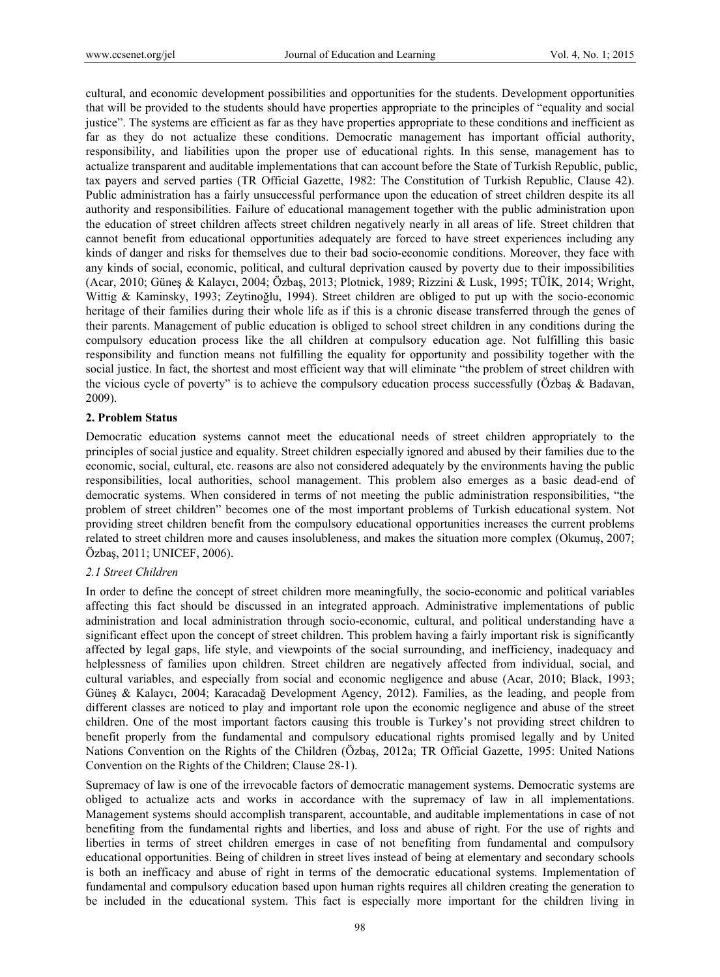cultural, and economic development possibilities and opportunities for the students. Development opportunities that will be provided to the students should have properties appropriate to the principles of "equality and social justice". The systems are efficient as far as they have properties appropriate to these conditions and inefficient as far as they do not actualize these conditions. Democratic management has important official authority, responsibility, and liabilities upon the proper use of educational rights. In this sense, management has to actualize transparent and auditable implementations that can account before the State of Turkish Republic, public, tax payers and served parties (TR Official Gazette, 1982: The Constitution of Turkish Republic, Clause 42). Public administration has a fairly unsuccessful performance upon the education of street children despite its all authority and responsibilities. Failure of educational management together with the public administration upon the education of street children affects street children negatively nearly in all areas of life. Street children that cannot benefit from educational opportunities adequately are forced to have street experiences including any kinds of danger and risks for themselves due to their bad socio-economic conditions. Moreover, they face with any kinds of social, economic, political, and cultural deprivation caused by poverty due to their impossibilities (Acar, 2010; Güneş & Kalaycı, 2004; Özbaş, 2013; Plotnick, 1989; Rizzini & Lusk, 1995; TÜİK, 2014; Wright, Wittig & Kaminsky, 1993; Zeytinoğlu, 1994). Street children are obliged to put up with the socio-economic heritage of their families during their whole life as if this is a chronic disease transferred through the genes of their parents. Management of public education is obliged to school street children in any conditions during the compulsory education process like the all children at compulsory education age. Not fulfilling this basic responsibility and function means not fulfilling the equality for opportunity and possibility together with the social justice. In fact, the shortest and most efficient way that will eliminate "the problem of street children with the vicious cycle of poverty" is to achieve the compulsory education process successfully (Özbaş & Badavan, 2009).

# **2. Problem Status**

Democratic education systems cannot meet the educational needs of street children appropriately to the principles of social justice and equality. Street children especially ignored and abused by their families due to the economic, social, cultural, etc. reasons are also not considered adequately by the environments having the public responsibilities, local authorities, school management. This problem also emerges as a basic dead-end of democratic systems. When considered in terms of not meeting the public administration responsibilities, "the problem of street children" becomes one of the most important problems of Turkish educational system. Not providing street children benefit from the compulsory educational opportunities increases the current problems related to street children more and causes insolubleness, and makes the situation more complex (Okumuş, 2007; Özbaş, 2011; UNICEF, 2006).

# *2.1 Street Children*

In order to define the concept of street children more meaningfully, the socio-economic and political variables affecting this fact should be discussed in an integrated approach. Administrative implementations of public administration and local administration through socio-economic, cultural, and political understanding have a significant effect upon the concept of street children. This problem having a fairly important risk is significantly affected by legal gaps, life style, and viewpoints of the social surrounding, and inefficiency, inadequacy and helplessness of families upon children. Street children are negatively affected from individual, social, and cultural variables, and especially from social and economic negligence and abuse (Acar, 2010; Black, 1993; Güneş & Kalaycı, 2004; Karacadağ Development Agency, 2012). Families, as the leading, and people from different classes are noticed to play and important role upon the economic negligence and abuse of the street children. One of the most important factors causing this trouble is Turkey's not providing street children to benefit properly from the fundamental and compulsory educational rights promised legally and by United Nations Convention on the Rights of the Children (Özbaş, 2012a; TR Official Gazette, 1995: United Nations Convention on the Rights of the Children; Clause 28-1).

Supremacy of law is one of the irrevocable factors of democratic management systems. Democratic systems are obliged to actualize acts and works in accordance with the supremacy of law in all implementations. Management systems should accomplish transparent, accountable, and auditable implementations in case of not benefiting from the fundamental rights and liberties, and loss and abuse of right. For the use of rights and liberties in terms of street children emerges in case of not benefiting from fundamental and compulsory educational opportunities. Being of children in street lives instead of being at elementary and secondary schools is both an inefficacy and abuse of right in terms of the democratic educational systems. Implementation of fundamental and compulsory education based upon human rights requires all children creating the generation to be included in the educational system. This fact is especially more important for the children living in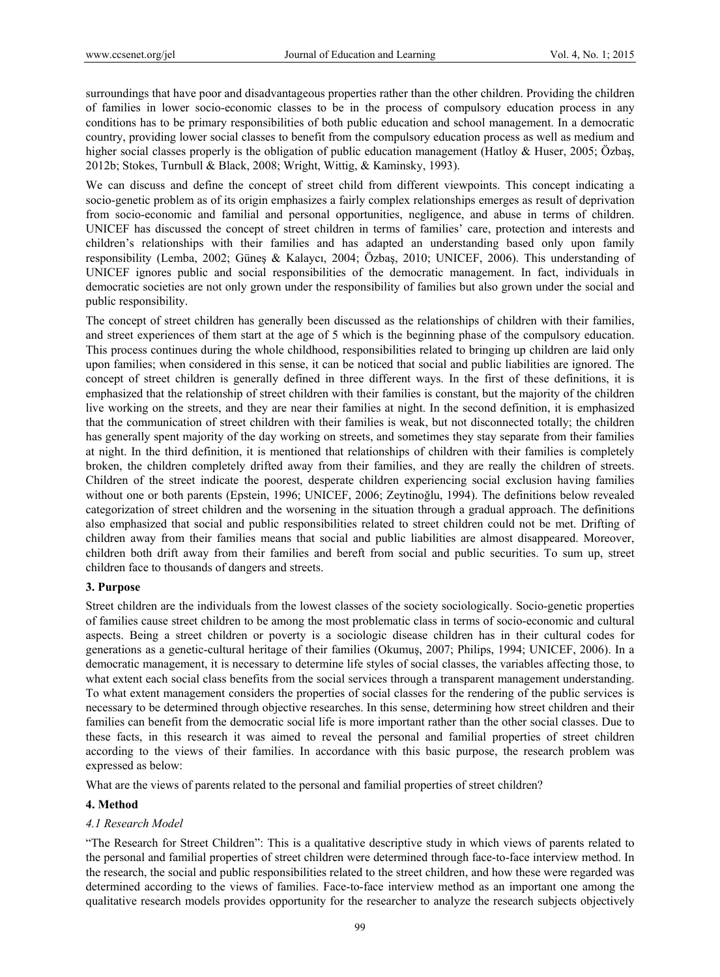surroundings that have poor and disadvantageous properties rather than the other children. Providing the children of families in lower socio-economic classes to be in the process of compulsory education process in any conditions has to be primary responsibilities of both public education and school management. In a democratic country, providing lower social classes to benefit from the compulsory education process as well as medium and higher social classes properly is the obligation of public education management (Hatloy & Huser, 2005; Özbaş, 2012b; Stokes, Turnbull & Black, 2008; Wright, Wittig, & Kaminsky, 1993).

We can discuss and define the concept of street child from different viewpoints. This concept indicating a socio-genetic problem as of its origin emphasizes a fairly complex relationships emerges as result of deprivation from socio-economic and familial and personal opportunities, negligence, and abuse in terms of children. UNICEF has discussed the concept of street children in terms of families' care, protection and interests and children's relationships with their families and has adapted an understanding based only upon family responsibility (Lemba, 2002; Güneş & Kalaycı, 2004; Özbaş, 2010; UNICEF, 2006). This understanding of UNICEF ignores public and social responsibilities of the democratic management. In fact, individuals in democratic societies are not only grown under the responsibility of families but also grown under the social and public responsibility.

The concept of street children has generally been discussed as the relationships of children with their families, and street experiences of them start at the age of 5 which is the beginning phase of the compulsory education. This process continues during the whole childhood, responsibilities related to bringing up children are laid only upon families; when considered in this sense, it can be noticed that social and public liabilities are ignored. The concept of street children is generally defined in three different ways. In the first of these definitions, it is emphasized that the relationship of street children with their families is constant, but the majority of the children live working on the streets, and they are near their families at night. In the second definition, it is emphasized that the communication of street children with their families is weak, but not disconnected totally; the children has generally spent majority of the day working on streets, and sometimes they stay separate from their families at night. In the third definition, it is mentioned that relationships of children with their families is completely broken, the children completely drifted away from their families, and they are really the children of streets. Children of the street indicate the poorest, desperate children experiencing social exclusion having families without one or both parents (Epstein, 1996; UNICEF, 2006; Zeytinoğlu, 1994). The definitions below revealed categorization of street children and the worsening in the situation through a gradual approach. The definitions also emphasized that social and public responsibilities related to street children could not be met. Drifting of children away from their families means that social and public liabilities are almost disappeared. Moreover, children both drift away from their families and bereft from social and public securities. To sum up, street children face to thousands of dangers and streets.

# **3. Purpose**

Street children are the individuals from the lowest classes of the society sociologically. Socio-genetic properties of families cause street children to be among the most problematic class in terms of socio-economic and cultural aspects. Being a street children or poverty is a sociologic disease children has in their cultural codes for generations as a genetic-cultural heritage of their families (Okumuş, 2007; Philips, 1994; UNICEF, 2006). In a democratic management, it is necessary to determine life styles of social classes, the variables affecting those, to what extent each social class benefits from the social services through a transparent management understanding. To what extent management considers the properties of social classes for the rendering of the public services is necessary to be determined through objective researches. In this sense, determining how street children and their families can benefit from the democratic social life is more important rather than the other social classes. Due to these facts, in this research it was aimed to reveal the personal and familial properties of street children according to the views of their families. In accordance with this basic purpose, the research problem was expressed as below:

What are the views of parents related to the personal and familial properties of street children?

# **4. Method**

# *4.1 Research Model*

"The Research for Street Children": This is a qualitative descriptive study in which views of parents related to the personal and familial properties of street children were determined through face-to-face interview method. In the research, the social and public responsibilities related to the street children, and how these were regarded was determined according to the views of families. Face-to-face interview method as an important one among the qualitative research models provides opportunity for the researcher to analyze the research subjects objectively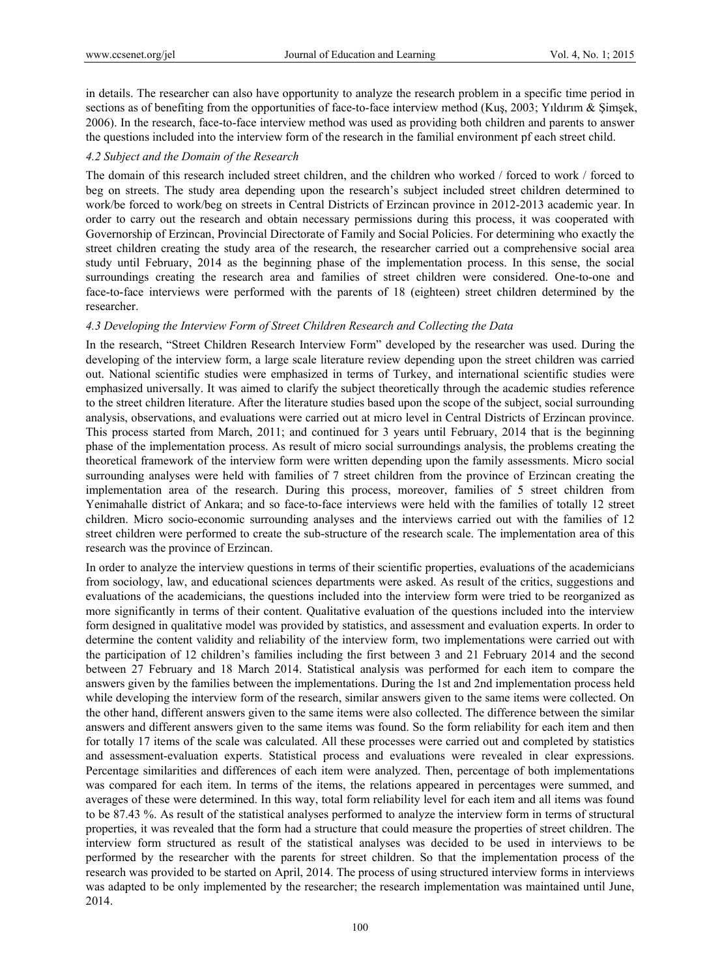in details. The researcher can also have opportunity to analyze the research problem in a specific time period in sections as of benefiting from the opportunities of face-to-face interview method (Kuş, 2003; Yıldırım & Şimşek, 2006). In the research, face-to-face interview method was used as providing both children and parents to answer the questions included into the interview form of the research in the familial environment pf each street child.

#### *4.2 Subject and the Domain of the Research*

The domain of this research included street children, and the children who worked / forced to work / forced to beg on streets. The study area depending upon the research's subject included street children determined to work/be forced to work/beg on streets in Central Districts of Erzincan province in 2012-2013 academic year. In order to carry out the research and obtain necessary permissions during this process, it was cooperated with Governorship of Erzincan, Provincial Directorate of Family and Social Policies. For determining who exactly the street children creating the study area of the research, the researcher carried out a comprehensive social area study until February, 2014 as the beginning phase of the implementation process. In this sense, the social surroundings creating the research area and families of street children were considered. One-to-one and face-to-face interviews were performed with the parents of 18 (eighteen) street children determined by the researcher.

#### *4.3 Developing the Interview Form of Street Children Research and Collecting the Data*

In the research, "Street Children Research Interview Form" developed by the researcher was used. During the developing of the interview form, a large scale literature review depending upon the street children was carried out. National scientific studies were emphasized in terms of Turkey, and international scientific studies were emphasized universally. It was aimed to clarify the subject theoretically through the academic studies reference to the street children literature. After the literature studies based upon the scope of the subject, social surrounding analysis, observations, and evaluations were carried out at micro level in Central Districts of Erzincan province. This process started from March, 2011; and continued for 3 years until February, 2014 that is the beginning phase of the implementation process. As result of micro social surroundings analysis, the problems creating the theoretical framework of the interview form were written depending upon the family assessments. Micro social surrounding analyses were held with families of 7 street children from the province of Erzincan creating the implementation area of the research. During this process, moreover, families of 5 street children from Yenimahalle district of Ankara; and so face-to-face interviews were held with the families of totally 12 street children. Micro socio-economic surrounding analyses and the interviews carried out with the families of 12 street children were performed to create the sub-structure of the research scale. The implementation area of this research was the province of Erzincan.

In order to analyze the interview questions in terms of their scientific properties, evaluations of the academicians from sociology, law, and educational sciences departments were asked. As result of the critics, suggestions and evaluations of the academicians, the questions included into the interview form were tried to be reorganized as more significantly in terms of their content. Qualitative evaluation of the questions included into the interview form designed in qualitative model was provided by statistics, and assessment and evaluation experts. In order to determine the content validity and reliability of the interview form, two implementations were carried out with the participation of 12 children's families including the first between 3 and 21 February 2014 and the second between 27 February and 18 March 2014. Statistical analysis was performed for each item to compare the answers given by the families between the implementations. During the 1st and 2nd implementation process held while developing the interview form of the research, similar answers given to the same items were collected. On the other hand, different answers given to the same items were also collected. The difference between the similar answers and different answers given to the same items was found. So the form reliability for each item and then for totally 17 items of the scale was calculated. All these processes were carried out and completed by statistics and assessment-evaluation experts. Statistical process and evaluations were revealed in clear expressions. Percentage similarities and differences of each item were analyzed. Then, percentage of both implementations was compared for each item. In terms of the items, the relations appeared in percentages were summed, and averages of these were determined. In this way, total form reliability level for each item and all items was found to be 87.43 %. As result of the statistical analyses performed to analyze the interview form in terms of structural properties, it was revealed that the form had a structure that could measure the properties of street children. The interview form structured as result of the statistical analyses was decided to be used in interviews to be performed by the researcher with the parents for street children. So that the implementation process of the research was provided to be started on April, 2014. The process of using structured interview forms in interviews was adapted to be only implemented by the researcher; the research implementation was maintained until June, 2014.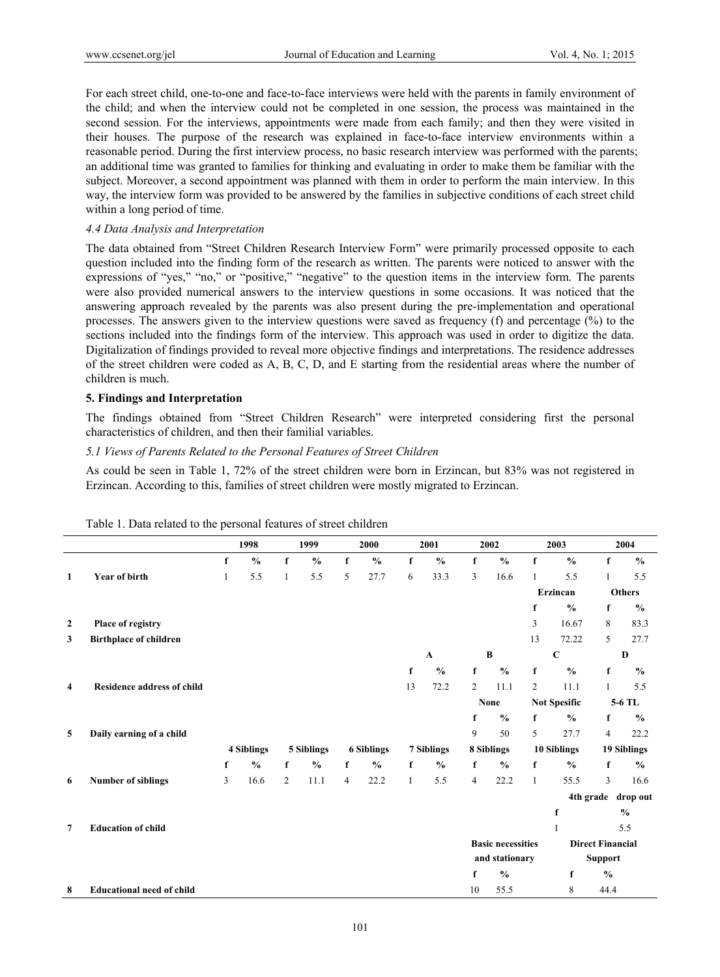For each street child, one-to-one and face-to-face interviews were held with the parents in family environment of the child; and when the interview could not be completed in one session, the process was maintained in the second session. For the interviews, appointments were made from each family; and then they were visited in their houses. The purpose of the research was explained in face-to-face interview environments within a reasonable period. During the first interview process, no basic research interview was performed with the parents; an additional time was granted to families for thinking and evaluating in order to make them be familiar with the subject. Moreover, a second appointment was planned with them in order to perform the main interview. In this way, the interview form was provided to be answered by the families in subjective conditions of each street child within a long period of time.

### *4.4 Data Analysis and Interpretation*

The data obtained from "Street Children Research Interview Form" were primarily processed opposite to each question included into the finding form of the research as written. The parents were noticed to answer with the expressions of "yes," "no," or "positive," "negative" to the question items in the interview form. The parents were also provided numerical answers to the interview questions in some occasions. It was noticed that the answering approach revealed by the parents was also present during the pre-implementation and operational processes. The answers given to the interview questions were saved as frequency (f) and percentage (%) to the sections included into the findings form of the interview. This approach was used in order to digitize the data. Digitalization of findings provided to reveal more objective findings and interpretations. The residence addresses of the street children were coded as A, B, C, D, and E starting from the residential areas where the number of children is much.

# **5. Findings and Interpretation**

The findings obtained from "Street Children Research" were interpreted considering first the personal characteristics of children, and then their familial variables.

## *5.1 Views of Parents Related to the Personal Features of Street Children*

As could be seen in Table 1, 72% of the street children were born in Erzincan, but 83% was not registered in Erzincan. According to this, families of street children were mostly migrated to Erzincan.

|                |                                   |             | 1998          |              | 1999          |                | 2000              |              | 2001          |                | 2002                     |                | 2003                |                         | 2004               |  |
|----------------|-----------------------------------|-------------|---------------|--------------|---------------|----------------|-------------------|--------------|---------------|----------------|--------------------------|----------------|---------------------|-------------------------|--------------------|--|
|                |                                   | $\mathbf f$ | $\frac{0}{0}$ | $\mathbf f$  | $\frac{0}{0}$ | $\mathbf f$    | $\frac{0}{0}$     | $\mathbf f$  | $\frac{0}{0}$ | $\mathbf f$    | $\frac{0}{0}$            | $\mathbf f$    | $\frac{0}{0}$       | $\mathbf f$             | $\frac{0}{0}$      |  |
| 1              | <b>Year of birth</b>              | 1           | 5.5           | $\mathbf{1}$ | 5.5           | 5              | 27.7              | 6            | 33.3          | 3              | 16.6                     | $\mathbf{1}$   | 5.5                 | 1                       | 5.5                |  |
|                |                                   |             |               |              |               |                |                   |              |               |                |                          |                | Erzincan            |                         | <b>Others</b>      |  |
|                |                                   |             |               |              |               |                |                   |              |               |                |                          | f              | $\frac{0}{0}$       | f                       | $\frac{0}{0}$      |  |
| $\overline{2}$ | Place of registry                 |             |               |              |               |                |                   |              |               |                |                          | 3              | 16.67               | 8                       | 83.3               |  |
| 3              | <b>Birthplace of children</b>     |             |               |              |               |                |                   |              |               |                |                          | 13             | 72.22               | 5                       | 27.7               |  |
|                |                                   |             |               |              |               |                |                   |              | $\mathbf A$   |                | $\bf{B}$                 |                | $\mathbf C$         |                         | D                  |  |
|                |                                   |             |               |              |               |                |                   | f            | $\frac{6}{6}$ | $\mathbf f$    | $\frac{0}{0}$            | $\mathbf f$    | $\frac{0}{0}$       | f                       | $\frac{0}{0}$      |  |
| 4              | <b>Residence address of child</b> |             |               |              |               |                |                   | 13           | 72.2          | 2              | 11.1                     | $\overline{2}$ | 11.1                | 1                       | 5.5                |  |
|                |                                   |             |               |              |               |                |                   |              |               |                | <b>None</b>              |                | <b>Not Spesific</b> |                         | 5-6 TL             |  |
|                |                                   |             |               |              |               |                |                   |              |               | f              | $\frac{0}{0}$            | f              | $\frac{0}{0}$       | f                       | $\frac{0}{0}$      |  |
| 5              | Daily earning of a child          |             |               |              |               |                |                   |              |               | 9              | 50                       | 5              | 27.7                | $\overline{4}$          | 22.2               |  |
|                |                                   |             | 4 Siblings    |              | 5 Siblings    |                | <b>6 Siblings</b> |              | 7 Siblings    |                | 8 Siblings               |                | 10 Siblings         |                         | 19 Siblings        |  |
|                |                                   | f           | $\frac{6}{6}$ | f            | $\frac{0}{0}$ | f              | $\frac{0}{0}$     | f            | $\frac{0}{0}$ | f              | $\frac{0}{0}$            | f              | $\frac{0}{0}$       | f                       | $\frac{0}{0}$      |  |
| 6              | <b>Number of siblings</b>         | 3           | 16.6          | 2            | 11.1          | $\overline{4}$ | 22.2              | $\mathbf{1}$ | 5.5           | $\overline{4}$ | 22.2                     | $\mathbf{1}$   | 55.5                | 3                       | 16.6               |  |
|                |                                   |             |               |              |               |                |                   |              |               |                |                          |                |                     |                         | 4th grade drop out |  |
|                |                                   |             |               |              |               |                |                   |              |               |                |                          |                | f                   |                         | $\frac{0}{0}$      |  |
| 7              | <b>Education of child</b>         |             |               |              |               |                |                   |              |               |                |                          |                | $\mathbf{1}$        |                         | 5.5                |  |
|                |                                   |             |               |              |               |                |                   |              |               |                | <b>Basic necessities</b> |                |                     | <b>Direct Financial</b> |                    |  |
|                |                                   |             |               |              |               |                |                   |              |               |                | and stationary           |                |                     | <b>Support</b>          |                    |  |
|                |                                   |             |               |              |               |                |                   |              |               | f              | $\frac{0}{0}$            |                | f                   | $\frac{0}{0}$           |                    |  |
| 8              | <b>Educational need of child</b>  |             |               |              |               |                |                   |              |               | 10             | 55.5                     |                | 8                   | 44.4                    |                    |  |

Table 1. Data related to the personal features of street children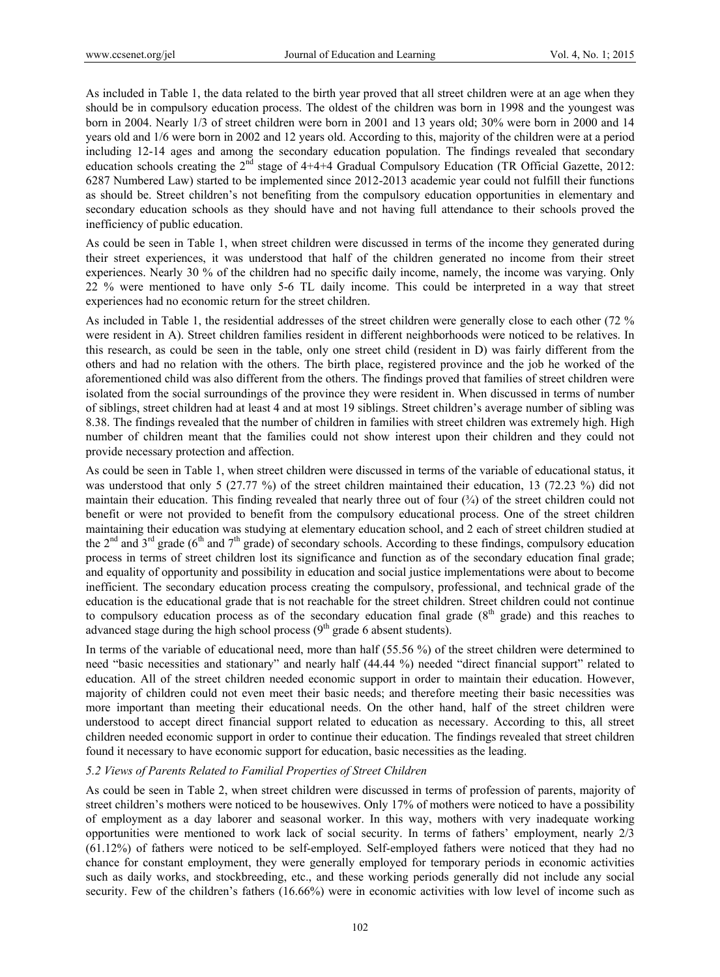As included in Table 1, the data related to the birth year proved that all street children were at an age when they should be in compulsory education process. The oldest of the children was born in 1998 and the youngest was born in 2004. Nearly 1/3 of street children were born in 2001 and 13 years old; 30% were born in 2000 and 14 years old and 1/6 were born in 2002 and 12 years old. According to this, majority of the children were at a period including 12-14 ages and among the secondary education population. The findings revealed that secondary education schools creating the  $2<sup>nd</sup>$  stage of 4+4+4 Gradual Compulsory Education (TR Official Gazette, 2012: 6287 Numbered Law) started to be implemented since 2012-2013 academic year could not fulfill their functions as should be. Street children's not benefiting from the compulsory education opportunities in elementary and secondary education schools as they should have and not having full attendance to their schools proved the inefficiency of public education.

As could be seen in Table 1, when street children were discussed in terms of the income they generated during their street experiences, it was understood that half of the children generated no income from their street experiences. Nearly 30 % of the children had no specific daily income, namely, the income was varying. Only 22 % were mentioned to have only 5-6 TL daily income. This could be interpreted in a way that street experiences had no economic return for the street children.

As included in Table 1, the residential addresses of the street children were generally close to each other (72 % were resident in A). Street children families resident in different neighborhoods were noticed to be relatives. In this research, as could be seen in the table, only one street child (resident in D) was fairly different from the others and had no relation with the others. The birth place, registered province and the job he worked of the aforementioned child was also different from the others. The findings proved that families of street children were isolated from the social surroundings of the province they were resident in. When discussed in terms of number of siblings, street children had at least 4 and at most 19 siblings. Street children's average number of sibling was 8.38. The findings revealed that the number of children in families with street children was extremely high. High number of children meant that the families could not show interest upon their children and they could not provide necessary protection and affection.

As could be seen in Table 1, when street children were discussed in terms of the variable of educational status, it was understood that only 5 (27.77 %) of the street children maintained their education, 13 (72.23 %) did not maintain their education. This finding revealed that nearly three out of four  $(\frac{3}{4})$  of the street children could not benefit or were not provided to benefit from the compulsory educational process. One of the street children maintaining their education was studying at elementary education school, and 2 each of street children studied at the  $2<sup>nd</sup>$  and  $3<sup>rd</sup>$  grade (6<sup>th</sup> and 7<sup>th</sup> grade) of secondary schools. According to these findings, compulsory education process in terms of street children lost its significance and function as of the secondary education final grade; and equality of opportunity and possibility in education and social justice implementations were about to become inefficient. The secondary education process creating the compulsory, professional, and technical grade of the education is the educational grade that is not reachable for the street children. Street children could not continue to compulsory education process as of the secondary education final grade  $(8<sup>th</sup> \text{ grade})$  and this reaches to advanced stage during the high school process  $(9<sup>th</sup> \text{ grade } 6 \text{ absent students}).$ 

In terms of the variable of educational need, more than half (55.56 %) of the street children were determined to need "basic necessities and stationary" and nearly half (44.44 %) needed "direct financial support" related to education. All of the street children needed economic support in order to maintain their education. However, majority of children could not even meet their basic needs; and therefore meeting their basic necessities was more important than meeting their educational needs. On the other hand, half of the street children were understood to accept direct financial support related to education as necessary. According to this, all street children needed economic support in order to continue their education. The findings revealed that street children found it necessary to have economic support for education, basic necessities as the leading.

# *5.2 Views of Parents Related to Familial Properties of Street Children*

As could be seen in Table 2, when street children were discussed in terms of profession of parents, majority of street children's mothers were noticed to be housewives. Only 17% of mothers were noticed to have a possibility of employment as a day laborer and seasonal worker. In this way, mothers with very inadequate working opportunities were mentioned to work lack of social security. In terms of fathers' employment, nearly 2/3 (61.12%) of fathers were noticed to be self-employed. Self-employed fathers were noticed that they had no chance for constant employment, they were generally employed for temporary periods in economic activities such as daily works, and stockbreeding, etc., and these working periods generally did not include any social security. Few of the children's fathers (16.66%) were in economic activities with low level of income such as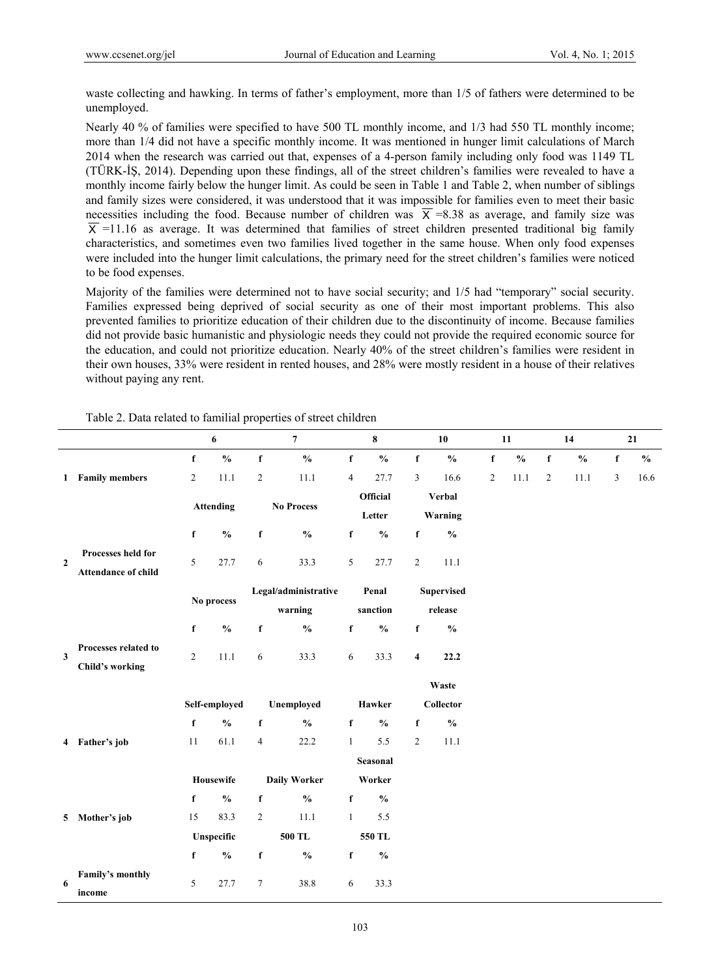waste collecting and hawking. In terms of father's employment, more than 1/5 of fathers were determined to be unemployed.

Nearly 40 % of families were specified to have 500 TL monthly income, and 1/3 had 550 TL monthly income; more than 1/4 did not have a specific monthly income. It was mentioned in hunger limit calculations of March 2014 when the research was carried out that, expenses of a 4-person family including only food was 1149 TL (TÜRK-İŞ, 2014). Depending upon these findings, all of the street children's families were revealed to have a monthly income fairly below the hunger limit. As could be seen in Table 1 and Table 2, when number of siblings and family sizes were considered, it was understood that it was impossible for families even to meet their basic necessities including the food. Because number of children was  $\overline{X} = 8.38$  as average, and family size was  $\overline{X}$  =11.16 as average. It was determined that families of street children presented traditional big family characteristics, and sometimes even two families lived together in the same house. When only food expenses were included into the hunger limit calculations, the primary need for the street children's families were noticed to be food expenses.

Majority of the families were determined not to have social security; and 1/5 had "temporary" social security. Families expressed being deprived of social security as one of their most important problems. This also prevented families to prioritize education of their children due to the discontinuity of income. Because families did not provide basic humanistic and physiologic needs they could not provide the required economic source for the education, and could not prioritize education. Nearly 40% of the street children's families were resident in their own houses, 33% were resident in rented houses, and 28% were mostly resident in a house of their relatives without paying any rent.

|                |                                                  |                | 6                                  |                | $\overline{7}$                     |                | 8               |                         | 10                                 |                | 11                                 |                | 14                                 |              | 21            |
|----------------|--------------------------------------------------|----------------|------------------------------------|----------------|------------------------------------|----------------|-----------------|-------------------------|------------------------------------|----------------|------------------------------------|----------------|------------------------------------|--------------|---------------|
|                |                                                  | $\mathbf f$    | $\mathbf{0}_{\mathbf{0}}^{\prime}$ | $\mathbf f$    | $\mathbf{0}_{\mathbf{0}}^{\prime}$ | $\mathbf f$    | $\frac{0}{0}$   | f                       | $\mathbf{0}_{\mathbf{0}}^{\prime}$ | $\mathbf f$    | $\mathbf{0}_{\mathbf{0}}^{\prime}$ | $\mathbf f$    | $\mathbf{0}_{\mathbf{0}}^{\prime}$ | $\mathbf f$  | $\frac{0}{0}$ |
|                | 1 Family members                                 | $\overline{2}$ | 11.1                               | $\overline{2}$ | 11.1                               | $\overline{4}$ | 27.7            | $\mathfrak{Z}$          | 16.6                               | $\overline{2}$ | 11.1                               | $\overline{2}$ | 11.1                               | $\mathbf{3}$ | 16.6          |
|                |                                                  |                |                                    |                |                                    |                | <b>Official</b> |                         | Verbal                             |                |                                    |                |                                    |              |               |
|                |                                                  |                | <b>Attending</b>                   |                | <b>No Process</b>                  |                | Letter          |                         | Warning                            |                |                                    |                |                                    |              |               |
|                |                                                  | f              | $\mathbf{0}_{\mathbf{0}}^{\prime}$ | $\mathbf f$    | $\mathbf{0}_{\mathbf{0}}^{\prime}$ | $\mathbf f$    | $\frac{0}{0}$   | f                       | $\frac{0}{0}$                      |                |                                    |                |                                    |              |               |
| $\overline{2}$ | Processes held for<br><b>Attendance of child</b> | 5              | 27.7                               | 6              | 33.3                               | 5              | 27.7            | $\overline{2}$          | 11.1                               |                |                                    |                |                                    |              |               |
|                |                                                  |                |                                    |                | Legal/administrative               |                | Penal           |                         | <b>Supervised</b>                  |                |                                    |                |                                    |              |               |
|                |                                                  |                | No process                         |                | warning                            |                | sanction        |                         | release                            |                |                                    |                |                                    |              |               |
|                |                                                  | f              | $\frac{0}{0}$                      | $\mathbf f$    | $\mathbf{0}_{\mathbf{0}}^{\prime}$ | $\mathbf f$    | $\frac{0}{0}$   | $\mathbf f$             | $\frac{0}{0}$                      |                |                                    |                |                                    |              |               |
| 3              | Processes related to<br><b>Child's working</b>   | $\overline{c}$ | 11.1                               | 6              | 33.3                               | 6              | 33.3            | $\overline{\mathbf{4}}$ | 22.2                               |                |                                    |                |                                    |              |               |
|                |                                                  |                |                                    |                |                                    |                |                 |                         | Waste                              |                |                                    |                |                                    |              |               |
|                |                                                  |                | Self-employed                      |                | Unemployed                         |                | Hawker          |                         | $Collector$                        |                |                                    |                |                                    |              |               |
|                |                                                  | $\mathbf f$    | $\frac{0}{0}$                      | $\mathbf f$    | $\mathbf{0}_{\mathbf{0}}^{\prime}$ | $\mathbf f$    | $\frac{0}{0}$   | $\mathbf f$             | $\mathbf{0}_{\mathbf{0}}^{\prime}$ |                |                                    |                |                                    |              |               |
|                | 4 Father's job                                   | 11             | 61.1                               | 4              | 22.2                               | $\mathbf{1}$   | 5.5             | $\overline{2}$          | 11.1                               |                |                                    |                |                                    |              |               |
|                |                                                  |                |                                    |                |                                    |                | Seasonal        |                         |                                    |                |                                    |                |                                    |              |               |
|                |                                                  |                | Housewife                          |                | <b>Daily Worker</b>                |                | Worker          |                         |                                    |                |                                    |                |                                    |              |               |
|                |                                                  | f              | $\frac{6}{6}$                      | f              | $\frac{0}{0}$                      | $\mathbf f$    | $\frac{6}{6}$   |                         |                                    |                |                                    |                |                                    |              |               |
|                | 5 Mother's job                                   | 15             | 83.3                               | $\overline{2}$ | 11.1                               | $\mathbf{1}$   | 5.5             |                         |                                    |                |                                    |                |                                    |              |               |
|                |                                                  |                | Unspecific                         |                | 500 TL                             |                | 550 TL          |                         |                                    |                |                                    |                |                                    |              |               |
|                |                                                  | f              | $\frac{0}{0}$                      | $\mathbf f$    | $\frac{0}{0}$                      | $\mathbf f$    | $\frac{0}{0}$   |                         |                                    |                |                                    |                |                                    |              |               |
| 6              | Family's monthly<br>income                       | 5              | 27.7                               | $\tau$         | 38.8                               | 6              | 33.3            |                         |                                    |                |                                    |                |                                    |              |               |

Table 2. Data related to familial properties of street children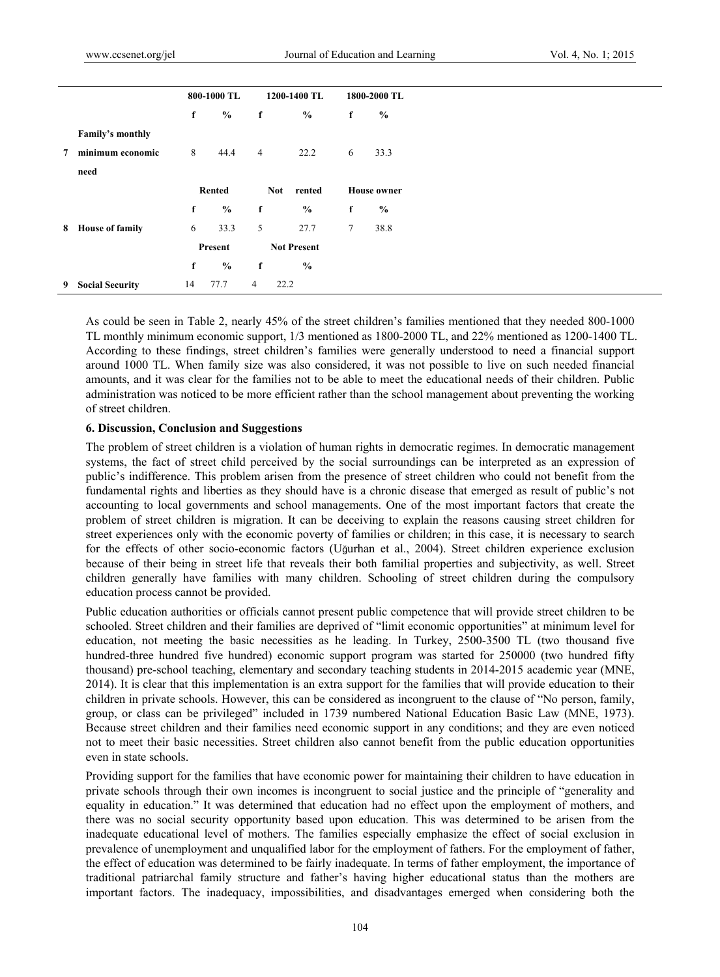|             |                        |    | 800-1000 TL   |                | 1200-1400 TL         |        | 1800-2000 TL       |
|-------------|------------------------|----|---------------|----------------|----------------------|--------|--------------------|
|             |                        | f  | $\frac{0}{0}$ | f              | $\frac{6}{9}$        | f      | $\frac{0}{0}$      |
|             | Family's monthly       |    |               |                |                      |        |                    |
| $7^{\circ}$ | minimum economic       | 8  | 44.4          | $\overline{4}$ | 22.2                 | 6      | 33.3               |
|             | need                   |    |               |                |                      |        |                    |
|             |                        |    | <b>Rented</b> |                | <b>Not</b><br>rented |        | <b>House owner</b> |
|             |                        | f  | $\%$          | f              | $\frac{6}{9}$        | f      | $\frac{0}{0}$      |
|             | 8 House of family      | 6  | 33.3          | 5              | 27.7                 | $\tau$ | 38.8               |
|             |                        |    | Present       |                | <b>Not Present</b>   |        |                    |
|             |                        | f  | $\%$          | f              | $\frac{0}{0}$        |        |                    |
| 9           | <b>Social Security</b> | 14 | 77.7          | 4              | 22.2                 |        |                    |

As could be seen in Table 2, nearly 45% of the street children's families mentioned that they needed 800-1000 TL monthly minimum economic support, 1/3 mentioned as 1800-2000 TL, and 22% mentioned as 1200-1400 TL. According to these findings, street children's families were generally understood to need a financial support around 1000 TL. When family size was also considered, it was not possible to live on such needed financial amounts, and it was clear for the families not to be able to meet the educational needs of their children. Public administration was noticed to be more efficient rather than the school management about preventing the working of street children.

#### **6. Discussion, Conclusion and Suggestions**

The problem of street children is a violation of human rights in democratic regimes. In democratic management systems, the fact of street child perceived by the social surroundings can be interpreted as an expression of public's indifference. This problem arisen from the presence of street children who could not benefit from the fundamental rights and liberties as they should have is a chronic disease that emerged as result of public's not accounting to local governments and school managements. One of the most important factors that create the problem of street children is migration. It can be deceiving to explain the reasons causing street children for street experiences only with the economic poverty of families or children; in this case, it is necessary to search for the effects of other socio-economic factors (Uğurhan et al., 2004). Street children experience exclusion because of their being in street life that reveals their both familial properties and subjectivity, as well. Street children generally have families with many children. Schooling of street children during the compulsory education process cannot be provided.

Public education authorities or officials cannot present public competence that will provide street children to be schooled. Street children and their families are deprived of "limit economic opportunities" at minimum level for education, not meeting the basic necessities as he leading. In Turkey, 2500-3500 TL (two thousand five hundred-three hundred five hundred) economic support program was started for 250000 (two hundred fifty thousand) pre-school teaching, elementary and secondary teaching students in 2014-2015 academic year (MNE, 2014). It is clear that this implementation is an extra support for the families that will provide education to their children in private schools. However, this can be considered as incongruent to the clause of "No person, family, group, or class can be privileged" included in 1739 numbered National Education Basic Law (MNE, 1973). Because street children and their families need economic support in any conditions; and they are even noticed not to meet their basic necessities. Street children also cannot benefit from the public education opportunities even in state schools.

Providing support for the families that have economic power for maintaining their children to have education in private schools through their own incomes is incongruent to social justice and the principle of "generality and equality in education." It was determined that education had no effect upon the employment of mothers, and there was no social security opportunity based upon education. This was determined to be arisen from the inadequate educational level of mothers. The families especially emphasize the effect of social exclusion in prevalence of unemployment and unqualified labor for the employment of fathers. For the employment of father, the effect of education was determined to be fairly inadequate. In terms of father employment, the importance of traditional patriarchal family structure and father's having higher educational status than the mothers are important factors. The inadequacy, impossibilities, and disadvantages emerged when considering both the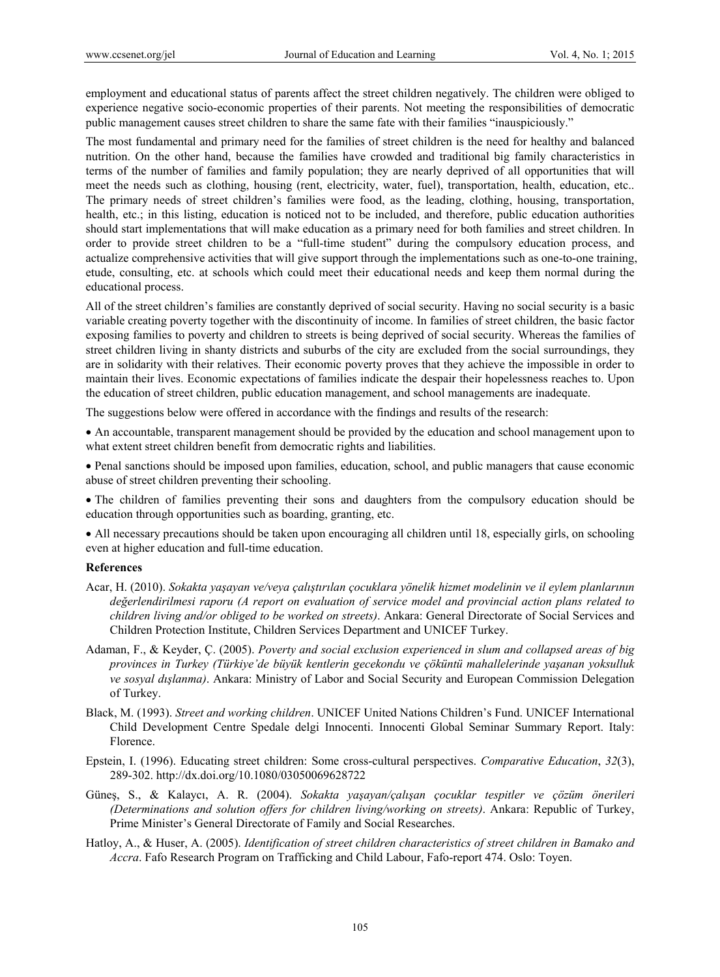employment and educational status of parents affect the street children negatively. The children were obliged to experience negative socio-economic properties of their parents. Not meeting the responsibilities of democratic public management causes street children to share the same fate with their families "inauspiciously."

The most fundamental and primary need for the families of street children is the need for healthy and balanced nutrition. On the other hand, because the families have crowded and traditional big family characteristics in terms of the number of families and family population; they are nearly deprived of all opportunities that will meet the needs such as clothing, housing (rent, electricity, water, fuel), transportation, health, education, etc.. The primary needs of street children's families were food, as the leading, clothing, housing, transportation, health, etc.; in this listing, education is noticed not to be included, and therefore, public education authorities should start implementations that will make education as a primary need for both families and street children. In order to provide street children to be a "full-time student" during the compulsory education process, and actualize comprehensive activities that will give support through the implementations such as one-to-one training, etude, consulting, etc. at schools which could meet their educational needs and keep them normal during the educational process.

All of the street children's families are constantly deprived of social security. Having no social security is a basic variable creating poverty together with the discontinuity of income. In families of street children, the basic factor exposing families to poverty and children to streets is being deprived of social security. Whereas the families of street children living in shanty districts and suburbs of the city are excluded from the social surroundings, they are in solidarity with their relatives. Their economic poverty proves that they achieve the impossible in order to maintain their lives. Economic expectations of families indicate the despair their hopelessness reaches to. Upon the education of street children, public education management, and school managements are inadequate.

The suggestions below were offered in accordance with the findings and results of the research:

 An accountable, transparent management should be provided by the education and school management upon to what extent street children benefit from democratic rights and liabilities.

 Penal sanctions should be imposed upon families, education, school, and public managers that cause economic abuse of street children preventing their schooling.

 The children of families preventing their sons and daughters from the compulsory education should be education through opportunities such as boarding, granting, etc.

• All necessary precautions should be taken upon encouraging all children until 18, especially girls, on schooling even at higher education and full-time education.

#### **References**

- Acar, H. (2010). *Sokakta yaşayan ve/veya çalıştırılan çocuklara yönelik hizmet modelinin ve il eylem planlarının değerlendirilmesi raporu (A report on evaluation of service model and provincial action plans related to children living and/or obliged to be worked on streets)*. Ankara: General Directorate of Social Services and Children Protection Institute, Children Services Department and UNICEF Turkey.
- Adaman, F., & Keyder, Ç. (2005). *Poverty and social exclusion experienced in slum and collapsed areas of big provinces in Turkey (Türkiye'de büyük kentlerin gecekondu ve çöküntü mahallelerinde yaşanan yoksulluk ve sosyal dışlanma)*. Ankara: Ministry of Labor and Social Security and European Commission Delegation of Turkey.
- Black, M. (1993). *Street and working children*. UNICEF United Nations Children's Fund. UNICEF International Child Development Centre Spedale delgi Innocenti. Innocenti Global Seminar Summary Report. Italy: Florence.
- Epstein, I. (1996). Educating street children: Some cross-cultural perspectives. *Comparative Education*, *32*(3), 289-302. http://dx.doi.org/10.1080/03050069628722
- Güneş, S., & Kalaycı, A. R. (2004). *Sokakta yaşayan/çalışan çocuklar tespitler ve çözüm önerileri (Determinations and solution offers for children living/working on streets)*. Ankara: Republic of Turkey, Prime Minister's General Directorate of Family and Social Researches.
- Hatloy, A., & Huser, A. (2005). *Identification of street children characteristics of street children in Bamako and Accra*. Fafo Research Program on Trafficking and Child Labour, Fafo-report 474. Oslo: Toyen.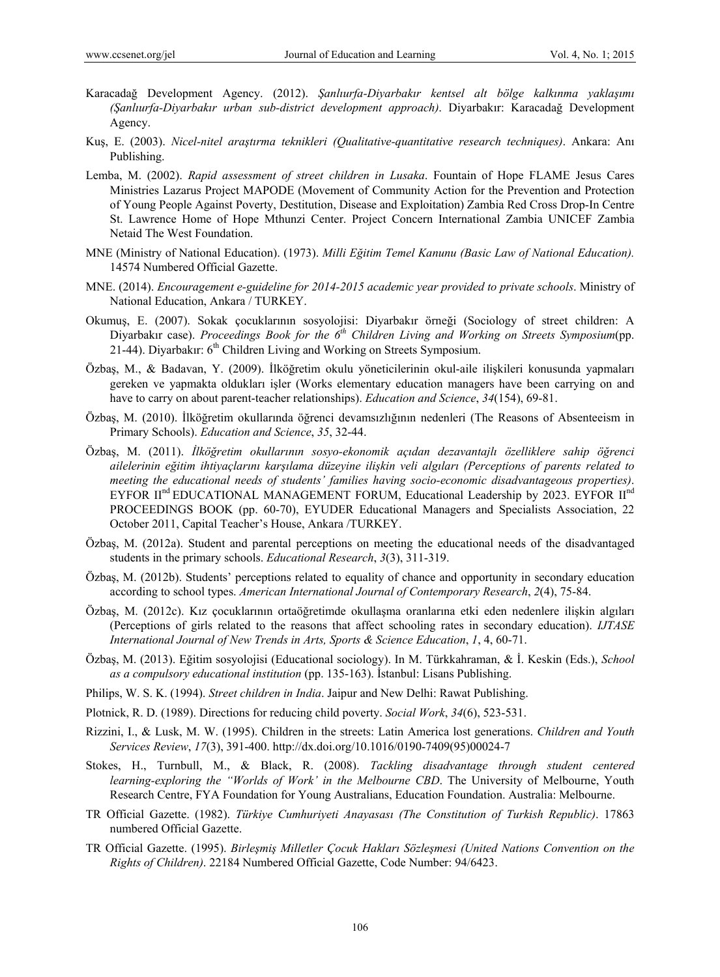- Karacadağ Development Agency. (2012). *Şanlıurfa-Diyarbakır kentsel alt bölge kalkınma yaklaşımı (Şanlıurfa-Diyarbakır urban sub-district development approach)*. Diyarbakır: Karacadağ Development Agency.
- Kuş, E. (2003). *Nicel-nitel araştırma teknikleri (Qualitative-quantitative research techniques)*. Ankara: Anı Publishing.
- Lemba, M. (2002). *Rapid assessment of street children in Lusaka*. Fountain of Hope FLAME Jesus Cares Ministries Lazarus Project MAPODE (Movement of Community Action for the Prevention and Protection of Young People Against Poverty, Destitution, Disease and Exploitation) Zambia Red Cross Drop-In Centre St. Lawrence Home of Hope Mthunzi Center. Project Concern International Zambia UNICEF Zambia Netaid The West Foundation.
- MNE (Ministry of National Education). (1973). *Milli Eğitim Temel Kanunu (Basic Law of National Education).*  14574 Numbered Official Gazette.
- MNE. (2014). *Encouragement e-guideline for 2014-2015 academic year provided to private schools*. Ministry of National Education, Ankara / TURKEY.
- Okumuş, E. (2007). Sokak çocuklarının sosyolojisi: Diyarbakır örneği (Sociology of street children: A Diyarbakır case). *Proceedings Book for the 6th Children Living and Working on Streets Symposium*(pp. 21-44). Diyarbakır:  $6<sup>th</sup>$  Children Living and Working on Streets Symposium.
- Özbaş, M., & Badavan, Y. (2009). İlköğretim okulu yöneticilerinin okul-aile ilişkileri konusunda yapmaları gereken ve yapmakta oldukları işler (Works elementary education managers have been carrying on and have to carry on about parent-teacher relationships). *Education and Science*, *34*(154), 69-81.
- Özbaş, M. (2010). İlköğretim okullarında öğrenci devamsızlığının nedenleri (The Reasons of Absenteeism in Primary Schools). *Education and Science*, *35*, 32-44.
- Özbaş, M. (2011). *İlköğretim okullarının sosyo-ekonomik açıdan dezavantajlı özelliklere sahip öğrenci ailelerinin eğitim ihtiyaçlarını karşılama düzeyine ilişkin veli algıları (Perceptions of parents related to meeting the educational needs of students' families having socio-economic disadvantageous properties)*. EYFOR  $II<sup>nd</sup>$  EDUCATIONAL MANAGEMENT FORUM, Educational Leadership by 2023. EYFOR  $II<sup>nd</sup>$ PROCEEDINGS BOOK (pp. 60-70), EYUDER Educational Managers and Specialists Association, 22 October 2011, Capital Teacher's House, Ankara /TURKEY.
- Özbaş, M. (2012a). Student and parental perceptions on meeting the educational needs of the disadvantaged students in the primary schools. *Educational Research*, *3*(3), 311-319.
- Özbaş, M. (2012b). Students' perceptions related to equality of chance and opportunity in secondary education according to school types. *American International Journal of Contemporary Research*, *2*(4), 75-84.
- Özbaş, M. (2012c). Kız çocuklarının ortaöğretimde okullaşma oranlarına etki eden nedenlere ilişkin algıları (Perceptions of girls related to the reasons that affect schooling rates in secondary education). *IJTASE International Journal of New Trends in Arts, Sports & Science Education*, *1*, 4, 60-71.
- Özbaş, M. (2013). Eğitim sosyolojisi (Educational sociology). In M. Türkkahraman, & İ. Keskin (Eds.), *School as a compulsory educational institution* (pp. 135-163). İstanbul: Lisans Publishing.
- Philips, W. S. K. (1994). *Street children in India*. Jaipur and New Delhi: Rawat Publishing.
- Plotnick, R. D. (1989). Directions for reducing child poverty. *Social Work*, *34*(6), 523-531.
- Rizzini, I., & Lusk, M. W. (1995). Children in the streets: Latin America lost generations. *Children and Youth Services Review*, *17*(3), 391-400. http://dx.doi.org/10.1016/0190-7409(95)00024-7
- Stokes, H., Turnbull, M., & Black, R. (2008). *Tackling disadvantage through student centered learning-exploring the "Worlds of Work' in the Melbourne CBD*. The University of Melbourne, Youth Research Centre, FYA Foundation for Young Australians, Education Foundation. Australia: Melbourne.
- TR Official Gazette. (1982). *Türkiye Cumhuriyeti Anayasası (The Constitution of Turkish Republic)*. 17863 numbered Official Gazette.
- TR Official Gazette. (1995). *Birleşmiş Milletler Çocuk Hakları Sözleşmesi (United Nations Convention on the Rights of Children)*. 22184 Numbered Official Gazette, Code Number: 94/6423.